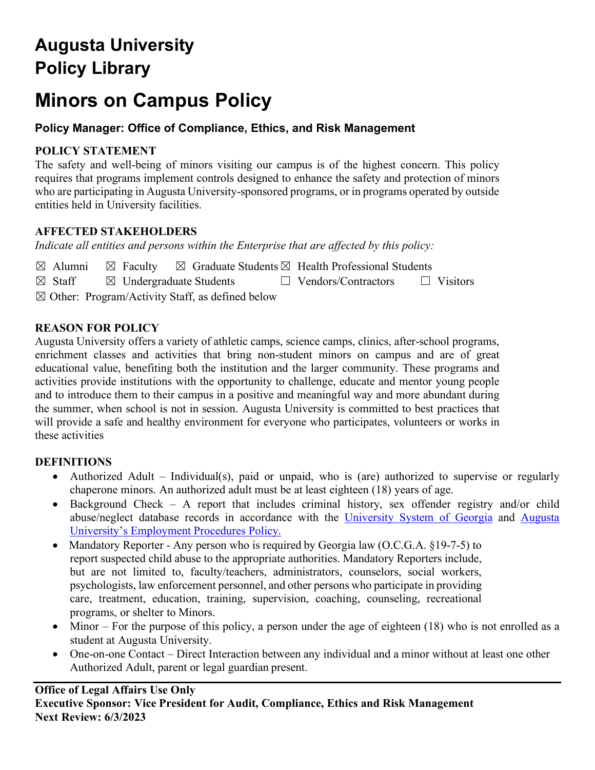# **Augusta University Policy Library**

# **Minors on Campus Policy**

# **Policy Manager: Office of Compliance, Ethics, and Risk Management**

## **POLICY STATEMENT**

The safety and well-being of minors visiting our campus is of the highest concern. This policy requires that programs implement controls designed to enhance the safety and protection of minors who are participating in Augusta University-sponsored programs, or in programs operated by outside entities held in University facilities.

# **AFFECTED STAKEHOLDERS**

*Indicate all entities and persons within the Enterprise that are affected by this policy:* 

| $\boxtimes$ Alumni | $\boxtimes$ Faculty                                         |  |  | $\boxtimes$ Graduate Students $\boxtimes$ Health Professional Students |                 |
|--------------------|-------------------------------------------------------------|--|--|------------------------------------------------------------------------|-----------------|
| $\boxtimes$ Staff  | $\boxtimes$ Undergraduate Students                          |  |  | $\Box$ Vendors/Contractors                                             | $\Box$ Visitors |
|                    | $\boxtimes$ Other: Program/Activity Staff, as defined below |  |  |                                                                        |                 |

# **REASON FOR POLICY**

Augusta University offers a variety of athletic camps, science camps, clinics, after-school programs, enrichment classes and activities that bring non-student minors on campus and are of great educational value, benefiting both the institution and the larger community. These programs and activities provide institutions with the opportunity to challenge, educate and mentor young people and to introduce them to their campus in a positive and meaningful way and more abundant during the summer, when school is not in session. Augusta University is committed to best practices that will provide a safe and healthy environment for everyone who participates, volunteers or works in these activities

## **DEFINITIONS**

- Authorized Adult Individual(s), paid or unpaid, who is (are) authorized to supervise or regularly chaperone minors. An authorized adult must be at least eighteen (18) years of age.
- Background Check A report that includes criminal history, sex offender registry and/or child abuse/neglect database records in accordance with the [University System of Georgia](http://www.usg.edu/hr/manual/background_investigation) and [Augusta](https://www.augusta.edu/compliance/policyinfo/policy/employment-procedures-policy.pdf)  [University's Employment Procedures Policy.](https://www.augusta.edu/compliance/policyinfo/policy/employment-procedures-policy.pdf)
- Mandatory Reporter Any person who is required by Georgia law (O.C.G.A. §19-7-5) to report suspected child abuse to the appropriate authorities. Mandatory Reporters include, but are not limited to, faculty/teachers, administrators, counselors, social workers, psychologists, law enforcement personnel, and other persons who participate in providing care, treatment, education, training, supervision, coaching, counseling, recreational programs, or shelter to Minors.
- Minor For the purpose of this policy, a person under the age of eighteen (18) who is not enrolled as a student at Augusta University.
- One-on-one Contact Direct Interaction between any individual and a minor without at least one other Authorized Adult, parent or legal guardian present.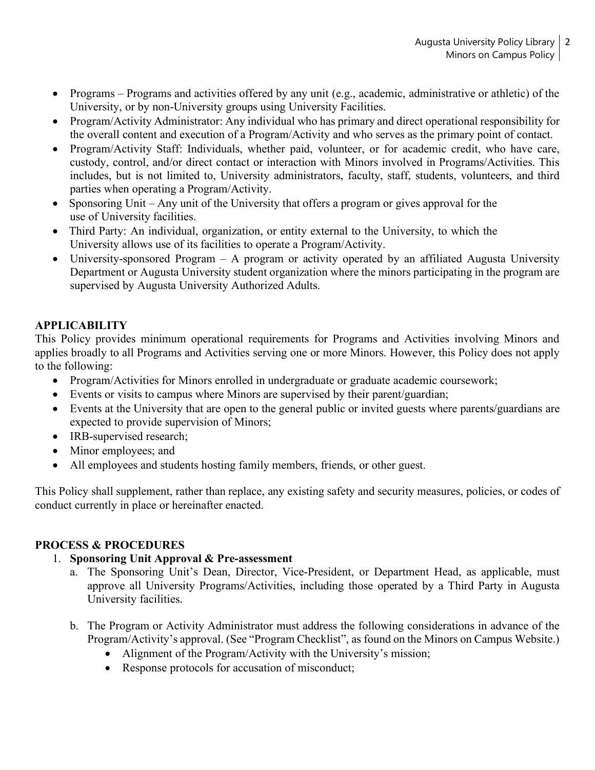- Programs Programs and activities offered by any unit (e.g., academic, administrative or athletic) of the University, or by non-University groups using University Facilities.
- Program/Activity Administrator: Any individual who has primary and direct operational responsibility for the overall content and execution of a Program/Activity and who serves as the primary point of contact.
- Program/Activity Staff: Individuals, whether paid, volunteer, or for academic credit, who have care, custody, control, and/or direct contact or interaction with Minors involved in Programs/Activities. This includes, but is not limited to, University administrators, faculty, staff, students, volunteers, and third parties when operating a Program/Activity.
- Sponsoring Unit Any unit of the University that offers a program or gives approval for the use of University facilities.
- Third Party: An individual, organization, or entity external to the University, to which the University allows use of its facilities to operate a Program/Activity.
- University-sponsored Program A program or activity operated by an affiliated Augusta University Department or Augusta University student organization where the minors participating in the program are supervised by Augusta University Authorized Adults.

# **APPLICABILITY**

This Policy provides minimum operational requirements for Programs and Activities involving Minors and applies broadly to all Programs and Activities serving one or more Minors. However, this Policy does not apply to the following:

- Program/Activities for Minors enrolled in undergraduate or graduate academic coursework;
- Events or visits to campus where Minors are supervised by their parent/guardian;
- Events at the University that are open to the general public or invited guests where parents/guardians are expected to provide supervision of Minors;
- IRB-supervised research;
- Minor employees; and
- All employees and students hosting family members, friends, or other guest.

This Policy shall supplement, rather than replace, any existing safety and security measures, policies, or codes of conduct currently in place or hereinafter enacted.

## **PROCESS & PROCEDURES**

## 1. **Sponsoring Unit Approval & Pre-assessment**

- a. The Sponsoring Unit's Dean, Director, Vice-President, or Department Head, as applicable, must approve all University Programs/Activities, including those operated by a Third Party in Augusta University facilities.
- b. The Program or Activity Administrator must address the following considerations in advance of the Program/Activity's approval. (See "Program Checklist", as found on the Minors on Campus Website.)
	- Alignment of the Program/Activity with the University's mission;
	- Response protocols for accusation of misconduct;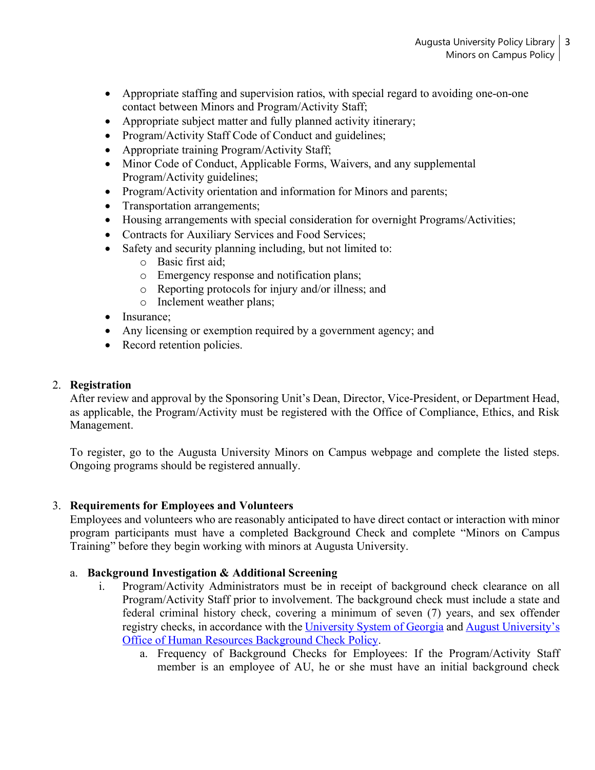- Appropriate staffing and supervision ratios, with special regard to avoiding one-on-one contact between Minors and Program/Activity Staff;
- Appropriate subject matter and fully planned activity itinerary;
- Program/Activity Staff Code of Conduct and guidelines;
- Appropriate training Program/Activity Staff;
- Minor Code of Conduct, Applicable Forms, Waivers, and any supplemental Program/Activity guidelines;
- Program/Activity orientation and information for Minors and parents;
- Transportation arrangements;
- Housing arrangements with special consideration for overnight Programs/Activities;
- Contracts for Auxiliary Services and Food Services;
- Safety and security planning including, but not limited to:
	- o Basic first aid;
	- o Emergency response and notification plans;
	- o Reporting protocols for injury and/or illness; and
	- o Inclement weather plans;
- Insurance;
- Any licensing or exemption required by a government agency; and
- Record retention policies.

## 2. **Registration**

After review and approval by the Sponsoring Unit's Dean, Director, Vice-President, or Department Head, as applicable, the Program/Activity must be registered with the Office of Compliance, Ethics, and Risk Management.

To register, go to the Augusta University Minors on Campus webpage and complete the listed steps. Ongoing programs should be registered annually.

## 3. **Requirements for Employees and Volunteers**

Employees and volunteers who are reasonably anticipated to have direct contact or interaction with minor program participants must have a completed Background Check and complete "Minors on Campus Training" before they begin working with minors at Augusta University.

## a. **Background Investigation & Additional Screening**

- i. Program/Activity Administrators must be in receipt of background check clearance on all Program/Activity Staff prior to involvement. The background check must include a state and federal criminal history check, covering a minimum of seven (7) years, and sex offender registry checks, in accordance with the [University System of Georgia](http://www.usg.edu/hr/manual/background_investigation) and August University's [Office of Human Resources Background Check Policy.](https://www.augusta.edu/compliance/policyinfo/policy/employee-background-investigation.pdf)
	- a. Frequency of Background Checks for Employees: If the Program/Activity Staff member is an employee of AU, he or she must have an initial background check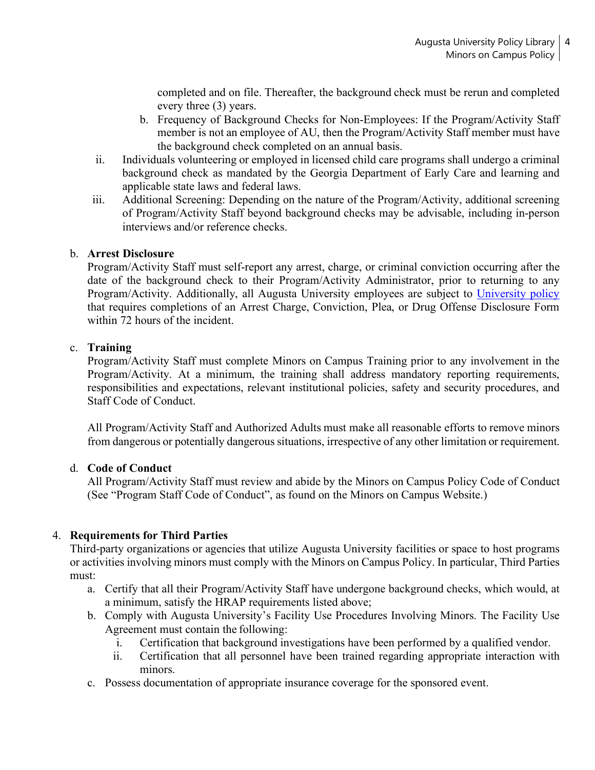completed and on file. Thereafter, the background check must be rerun and completed every three (3) years.

- b. Frequency of Background Checks for Non-Employees: If the Program/Activity Staff member is not an employee of AU, then the Program/Activity Staff member must have the background check completed on an annual basis.
- ii. Individuals volunteering or employed in licensed child care programs shall undergo a criminal background check as mandated by the Georgia Department of Early Care and learning and applicable state laws and federal laws.
- iii. Additional Screening: Depending on the nature of the Program/Activity, additional screening of Program/Activity Staff beyond background checks may be advisable, including in-person interviews and/or reference checks.

#### b. **Arrest Disclosure**

Program/Activity Staff must self-report any arrest, charge, or criminal conviction occurring after the date of the background check to their Program/Activity Administrator, prior to returning to any Program/Activity. Additionally, all Augusta University employees are subject to [University policy](https://www.augusta.edu/compliance/policyinfo/policy/disciplinary-procedures-for-employees.pdf) that requires completions of an Arrest Charge, Conviction, Plea, or Drug Offense Disclosure Form within 72 hours of the incident.

#### c. **Training**

Program/Activity Staff must complete Minors on Campus Training prior to any involvement in the Program/Activity. At a minimum, the training shall address mandatory reporting requirements, responsibilities and expectations, relevant institutional policies, safety and security procedures, and Staff Code of Conduct.

All Program/Activity Staff and Authorized Adults must make all reasonable efforts to remove minors from dangerous or potentially dangerous situations, irrespective of any other limitation or requirement.

#### d. **Code of Conduct**

All Program/Activity Staff must review and abide by the Minors on Campus Policy Code of Conduct (See "Program Staff Code of Conduct", as found on the Minors on Campus Website.)

#### 4. **Requirements for Third Parties**

Third-party organizations or agencies that utilize Augusta University facilities or space to host programs or activities involving minors must comply with the Minors on Campus Policy. In particular, Third Parties must:

- a. Certify that all their Program/Activity Staff have undergone background checks, which would, at a minimum, satisfy the HRAP requirements listed above;
- b. Comply with Augusta University's Facility Use Procedures Involving Minors. The Facility Use Agreement must contain the following:
	- i. Certification that background investigations have been performed by a qualified vendor.
	- ii. Certification that all personnel have been trained regarding appropriate interaction with minors.
- c. Possess documentation of appropriate insurance coverage for the sponsored event.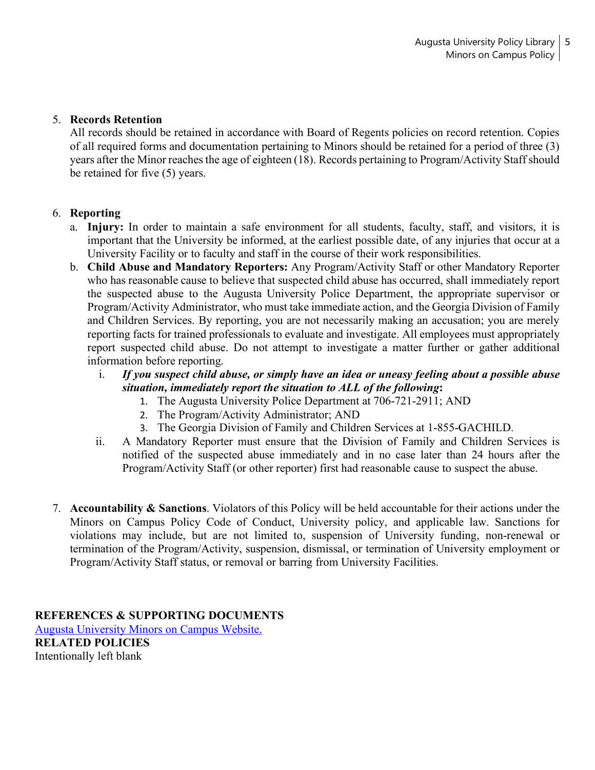### 5. **Records Retention**

All records should be retained in accordance with Board of Regents policies on record retention. Copies of all required forms and documentation pertaining to Minors should be retained for a period of three (3) years after the Minor reaches the age of eighteen (18). Records pertaining to Program/Activity Staff should be retained for five (5) years.

#### 6. **Reporting**

- a. **Injury:** In order to maintain a safe environment for all students, faculty, staff, and visitors, it is important that the University be informed, at the earliest possible date, of any injuries that occur at a University Facility or to faculty and staff in the course of their work responsibilities.
- b. **Child Abuse and Mandatory Reporters:** Any Program/Activity Staff or other Mandatory Reporter who has reasonable cause to believe that suspected child abuse has occurred, shall immediately report the suspected abuse to the Augusta University Police Department, the appropriate supervisor or Program/Activity Administrator, who must take immediate action, and the Georgia Division of Family and Children Services. By reporting, you are not necessarily making an accusation; you are merely reporting facts for trained professionals to evaluate and investigate. All employees must appropriately report suspected child abuse. Do not attempt to investigate a matter further or gather additional information before reporting.
	- i. *If you suspect child abuse, or simply have an idea or uneasy feeling about a possible abuse situation, immediately report the situation to ALL of the following***:**
		- 1. The Augusta University Police Department at 706-721-2911; AND
		- 2. The Program/Activity Administrator; AND
		- 3. The Georgia Division of Family and Children Services at 1-855-GACHILD.
	- ii. A Mandatory Reporter must ensure that the Division of Family and Children Services is notified of the suspected abuse immediately and in no case later than 24 hours after the Program/Activity Staff (or other reporter) first had reasonable cause to suspect the abuse.
- 7. **Accountability & Sanctions**. Violators of this Policy will be held accountable for their actions under the Minors on Campus Policy Code of Conduct, University policy, and applicable law. Sanctions for violations may include, but are not limited to, suspension of University funding, non-renewal or termination of the Program/Activity, suspension, dismissal, or termination of University employment or Program/Activity Staff status, or removal or barring from University Facilities.

**REFERENCES & SUPPORTING DOCUMENTS** [Augusta University Minors on Campus Website.](https://www.augusta.edu/compliance/minorsoncampus/) **RELATED POLICIES** Intentionally left blank